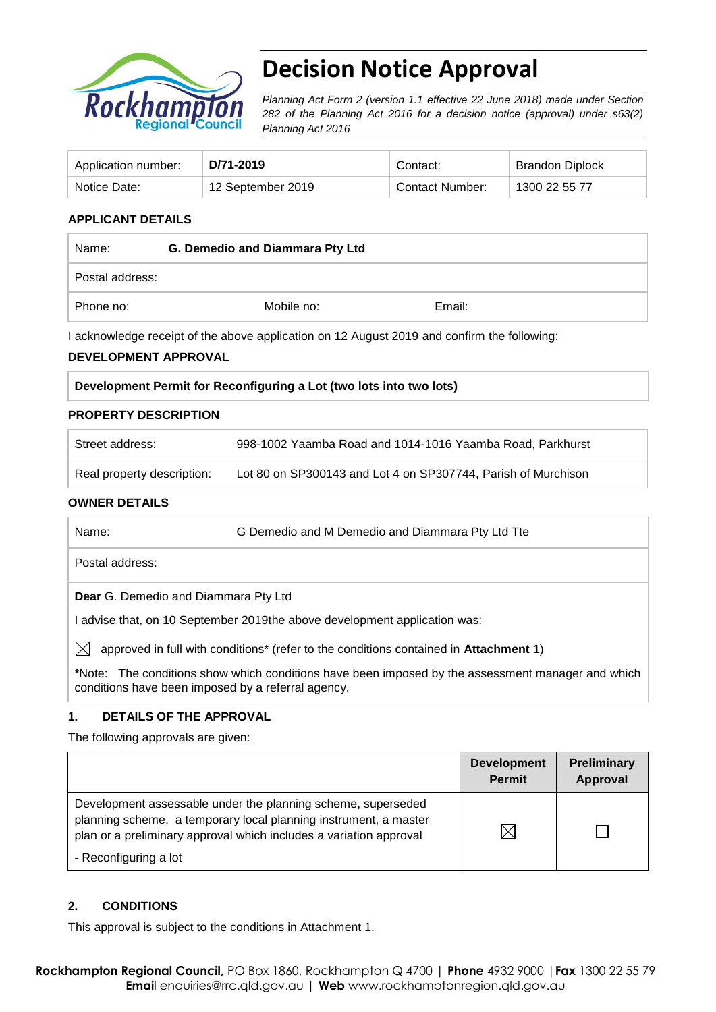

# **Decision Notice Approval**

*Planning Act Form 2 (version 1.1 effective 22 June 2018) made under Section 282 of the Planning Act 2016 for a decision notice (approval) under s63(2) Planning Act 2016*

| Application number: | D/71-2019         | Contact:        | <b>Brandon Diplock</b> |
|---------------------|-------------------|-----------------|------------------------|
| Notice Date:        | 12 September 2019 | Contact Number: | 1300 22 55 77          |

## **APPLICANT DETAILS**

| Name:           | G. Demedio and Diammara Pty Ltd |        |  |
|-----------------|---------------------------------|--------|--|
| Postal address: |                                 |        |  |
| Phone no:       | Mobile no:                      | Email: |  |

I acknowledge receipt of the above application on 12 August 2019 and confirm the following:

### **DEVELOPMENT APPROVAL**

| Development Permit for Reconfiguring a Lot (two lots into two lots) |
|---------------------------------------------------------------------|
|                                                                     |

#### **PROPERTY DESCRIPTION**

| Street address:            | 998-1002 Yaamba Road and 1014-1016 Yaamba Road, Parkhurst     |
|----------------------------|---------------------------------------------------------------|
| Real property description: | Lot 80 on SP300143 and Lot 4 on SP307744, Parish of Murchison |

#### **OWNER DETAILS**

|  | Name: | G Demedio and M Demedio and Diammara Pty Ltd Tte |
|--|-------|--------------------------------------------------|
|--|-------|--------------------------------------------------|

Postal address:

**Dear** G. Demedio and Diammara Pty Ltd

I advise that, on 10 September 2019the above development application was:

 $\boxtimes$  approved in full with conditions<sup>\*</sup> (refer to the conditions contained in **Attachment 1**)

**\***Note:The conditions show which conditions have been imposed by the assessment manager and which conditions have been imposed by a referral agency.

### **1. DETAILS OF THE APPROVAL**

The following approvals are given:

|                                                                                                                                                                                                        | <b>Development</b><br><b>Permit</b> | Preliminary<br>Approval |
|--------------------------------------------------------------------------------------------------------------------------------------------------------------------------------------------------------|-------------------------------------|-------------------------|
| Development assessable under the planning scheme, superseded<br>planning scheme, a temporary local planning instrument, a master<br>plan or a preliminary approval which includes a variation approval |                                     |                         |
| - Reconfiguring a lot                                                                                                                                                                                  |                                     |                         |

### **2. CONDITIONS**

This approval is subject to the conditions in Attachment 1.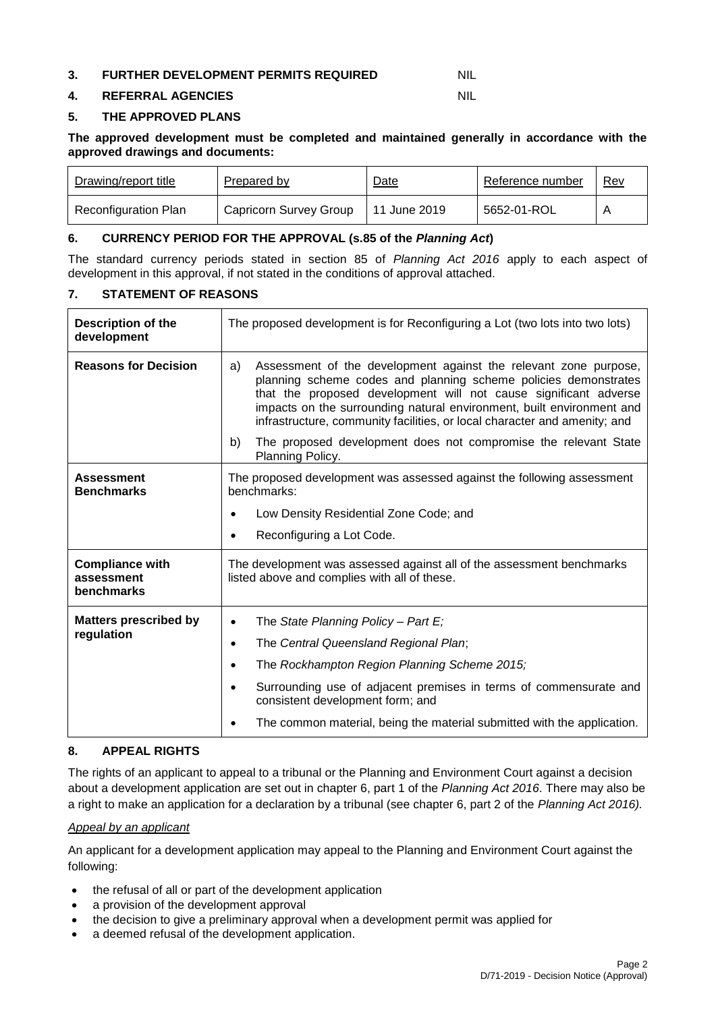### **3. FURTHER DEVELOPMENT PERMITS REQUIRED NIL**

#### **4. REFERRAL AGENCIES** NIL

## **5. THE APPROVED PLANS**

**The approved development must be completed and maintained generally in accordance with the approved drawings and documents:**

| Drawing/report title        | Prepared by            | Date         | Reference number | Rev |
|-----------------------------|------------------------|--------------|------------------|-----|
| <b>Reconfiguration Plan</b> | Capricorn Survey Group | 11 June 2019 | 5652-01-ROL      |     |

#### **6. CURRENCY PERIOD FOR THE APPROVAL (s.85 of the** *Planning Act***)**

The standard currency periods stated in section 85 of *Planning Act 2016* apply to each aspect of development in this approval, if not stated in the conditions of approval attached.

#### **7. STATEMENT OF REASONS**

| Description of the<br>development                  | The proposed development is for Reconfiguring a Lot (two lots into two lots)                                                                                                                                                                                                                                                                                        |  |  |
|----------------------------------------------------|---------------------------------------------------------------------------------------------------------------------------------------------------------------------------------------------------------------------------------------------------------------------------------------------------------------------------------------------------------------------|--|--|
| <b>Reasons for Decision</b>                        | Assessment of the development against the relevant zone purpose,<br>a)<br>planning scheme codes and planning scheme policies demonstrates<br>that the proposed development will not cause significant adverse<br>impacts on the surrounding natural environment, built environment and<br>infrastructure, community facilities, or local character and amenity; and |  |  |
|                                                    | b)<br>The proposed development does not compromise the relevant State<br>Planning Policy.                                                                                                                                                                                                                                                                           |  |  |
| <b>Assessment</b><br><b>Benchmarks</b>             | The proposed development was assessed against the following assessment<br>benchmarks:                                                                                                                                                                                                                                                                               |  |  |
|                                                    | Low Density Residential Zone Code; and                                                                                                                                                                                                                                                                                                                              |  |  |
|                                                    | Reconfiguring a Lot Code.                                                                                                                                                                                                                                                                                                                                           |  |  |
| <b>Compliance with</b><br>assessment<br>benchmarks | The development was assessed against all of the assessment benchmarks<br>listed above and complies with all of these.                                                                                                                                                                                                                                               |  |  |
| <b>Matters prescribed by</b>                       | The State Planning Policy - Part $E_i$<br>$\bullet$                                                                                                                                                                                                                                                                                                                 |  |  |
| regulation                                         | The Central Queensland Regional Plan;<br>٠                                                                                                                                                                                                                                                                                                                          |  |  |
|                                                    | The Rockhampton Region Planning Scheme 2015;<br>٠                                                                                                                                                                                                                                                                                                                   |  |  |
|                                                    | Surrounding use of adjacent premises in terms of commensurate and<br>consistent development form; and                                                                                                                                                                                                                                                               |  |  |
|                                                    | The common material, being the material submitted with the application.                                                                                                                                                                                                                                                                                             |  |  |

### **8. APPEAL RIGHTS**

The rights of an applicant to appeal to a tribunal or the Planning and Environment Court against a decision about a development application are set out in chapter 6, part 1 of the *Planning Act 2016*. There may also be a right to make an application for a declaration by a tribunal (see chapter 6, part 2 of the *Planning Act 2016).*

### *Appeal by an applicant*

An applicant for a development application may appeal to the Planning and Environment Court against the following:

- the refusal of all or part of the development application
- a provision of the development approval
- the decision to give a preliminary approval when a development permit was applied for
- a deemed refusal of the development application.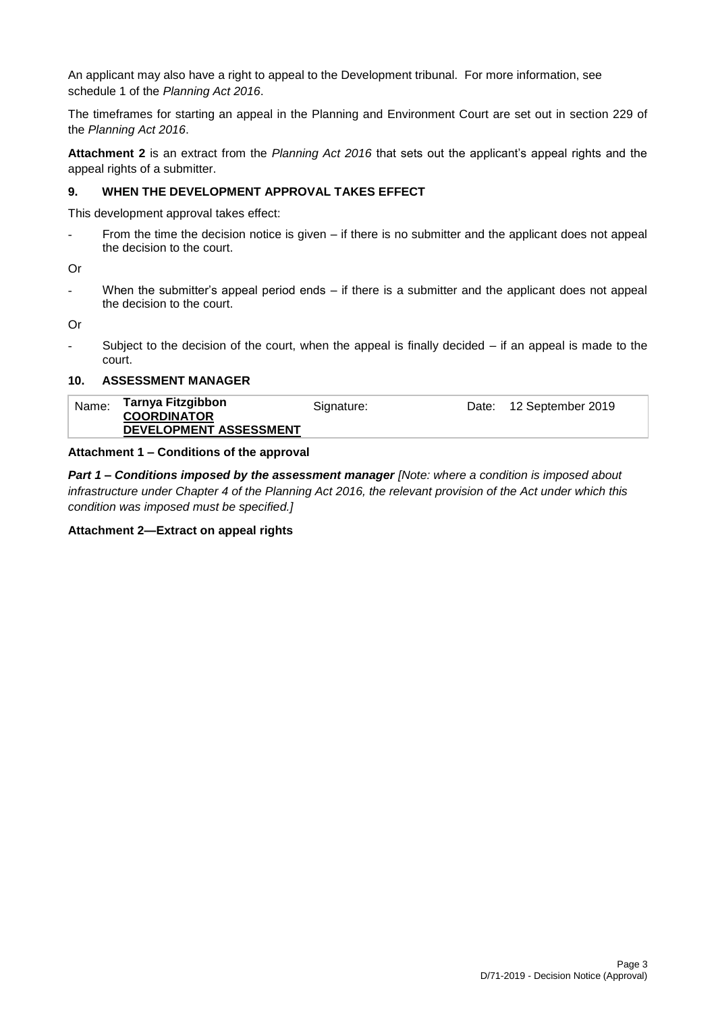An applicant may also have a right to appeal to the Development tribunal. For more information, see schedule 1 of the *Planning Act 2016*.

The timeframes for starting an appeal in the Planning and Environment Court are set out in section 229 of the *Planning Act 2016*.

**Attachment 2** is an extract from the *Planning Act 2016* that sets out the applicant's appeal rights and the appeal rights of a submitter.

## **9. WHEN THE DEVELOPMENT APPROVAL TAKES EFFECT**

This development approval takes effect:

- From the time the decision notice is given – if there is no submitter and the applicant does not appeal the decision to the court.

Or

When the submitter's appeal period ends  $-$  if there is a submitter and the applicant does not appeal the decision to the court.

Or

Subject to the decision of the court, when the appeal is finally decided  $-$  if an appeal is made to the court.

### **10. ASSESSMENT MANAGER**

### **Attachment 1 – Conditions of the approval**

*Part 1* **–** *Conditions imposed by the assessment manager [Note: where a condition is imposed about infrastructure under Chapter 4 of the Planning Act 2016, the relevant provision of the Act under which this condition was imposed must be specified.]*

### **Attachment 2—Extract on appeal rights**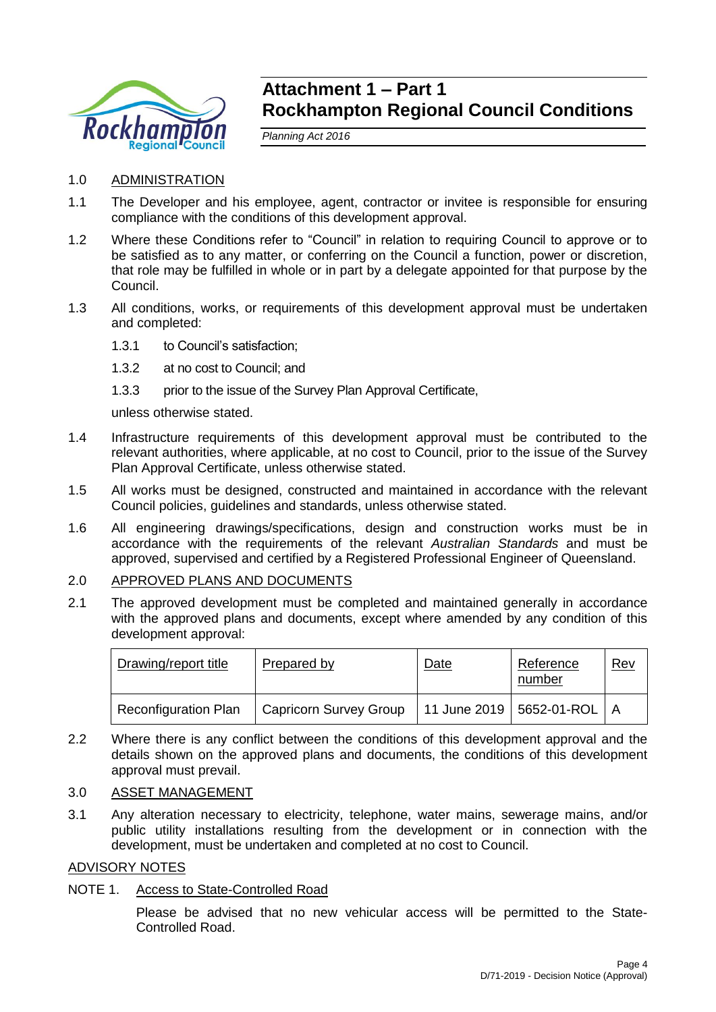

## **Attachment 1 – Part 1 Rockhampton Regional Council Conditions**

*Planning Act 2016*

- 1.0 ADMINISTRATION
- 1.1 The Developer and his employee, agent, contractor or invitee is responsible for ensuring compliance with the conditions of this development approval.
- 1.2 Where these Conditions refer to "Council" in relation to requiring Council to approve or to be satisfied as to any matter, or conferring on the Council a function, power or discretion, that role may be fulfilled in whole or in part by a delegate appointed for that purpose by the Council.
- 1.3 All conditions, works, or requirements of this development approval must be undertaken and completed:
	- 1.3.1 to Council's satisfaction;
	- 1.3.2 at no cost to Council; and
	- 1.3.3 prior to the issue of the Survey Plan Approval Certificate,

unless otherwise stated.

- 1.4 Infrastructure requirements of this development approval must be contributed to the relevant authorities, where applicable, at no cost to Council, prior to the issue of the Survey Plan Approval Certificate, unless otherwise stated.
- 1.5 All works must be designed, constructed and maintained in accordance with the relevant Council policies, guidelines and standards, unless otherwise stated.
- 1.6 All engineering drawings/specifications, design and construction works must be in accordance with the requirements of the relevant *Australian Standards* and must be approved, supervised and certified by a Registered Professional Engineer of Queensland.
- 2.0 APPROVED PLANS AND DOCUMENTS
- 2.1 The approved development must be completed and maintained generally in accordance with the approved plans and documents, except where amended by any condition of this development approval:

| Drawing/report title        | Prepared by                   | Date | Reference<br>number            | Rev |
|-----------------------------|-------------------------------|------|--------------------------------|-----|
| <b>Reconfiguration Plan</b> | <b>Capricorn Survey Group</b> |      | 11 June 2019   5652-01-ROL   A |     |

2.2 Where there is any conflict between the conditions of this development approval and the details shown on the approved plans and documents, the conditions of this development approval must prevail.

### 3.0 ASSET MANAGEMENT

3.1 Any alteration necessary to electricity, telephone, water mains, sewerage mains, and/or public utility installations resulting from the development or in connection with the development, must be undertaken and completed at no cost to Council.

## ADVISORY NOTES

## NOTE 1. Access to State-Controlled Road

Please be advised that no new vehicular access will be permitted to the State-Controlled Road.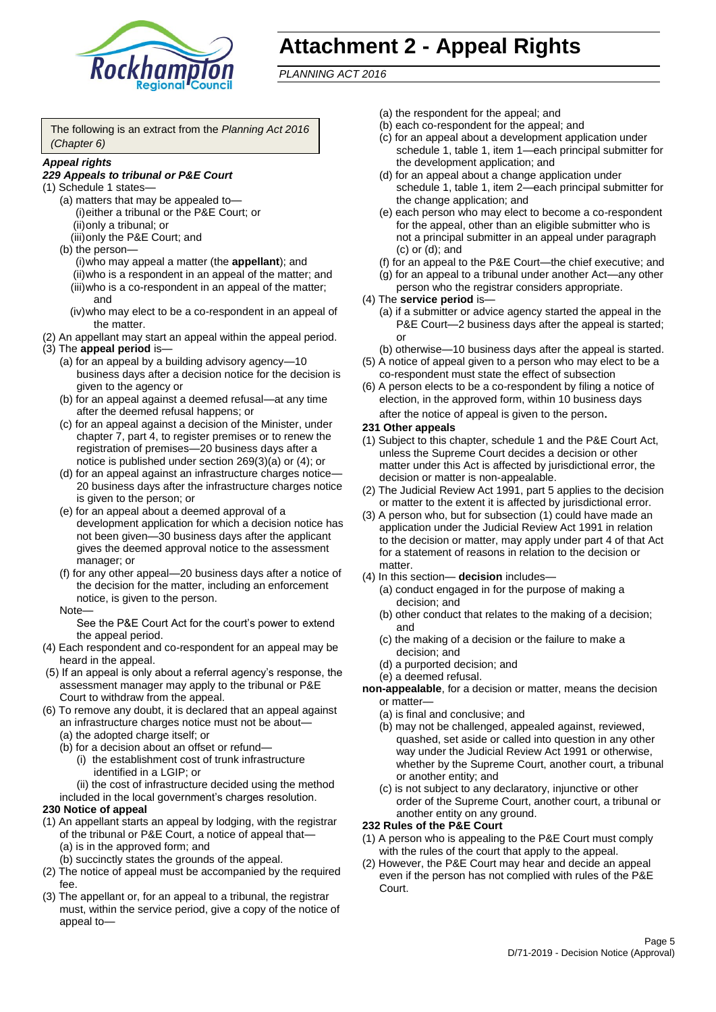

## **Attachment 2 - Appeal Rights**

*PLANNING ACT 2016*

The following is an extract from the *Planning Act 2016 (Chapter 6)*

#### *Appeal rights*

## *229 Appeals to tribunal or P&E Court*

- (1) Schedule 1 states—
	- (a) matters that may be appealed to— (i)either a tribunal or the P&E Court; or (ii)only a tribunal; or
	- (iii)only the P&E Court; and (b) the person—
		- (i)who may appeal a matter (the **appellant**); and (ii)who is a respondent in an appeal of the matter; and (iii)who is a co-respondent in an appeal of the matter; and
		- (iv)who may elect to be a co-respondent in an appeal of the matter.
- (2) An appellant may start an appeal within the appeal period.
- (3) The **appeal period** is—
	- (a) for an appeal by a building advisory agency—10 business days after a decision notice for the decision is given to the agency or
	- (b) for an appeal against a deemed refusal—at any time after the deemed refusal happens; or
	- (c) for an appeal against a decision of the Minister, under chapter 7, part 4, to register premises or to renew the registration of premises—20 business days after a notice is published under section 269(3)(a) or (4); or
	- (d) for an appeal against an infrastructure charges notice— 20 business days after the infrastructure charges notice is given to the person; or
	- (e) for an appeal about a deemed approval of a development application for which a decision notice has not been given—30 business days after the applicant gives the deemed approval notice to the assessment manager; or
	- (f) for any other appeal—20 business days after a notice of the decision for the matter, including an enforcement notice, is given to the person.

#### Note—

See the P&E Court Act for the court's power to extend the appeal period.

- (4) Each respondent and co-respondent for an appeal may be heard in the appeal.
- (5) If an appeal is only about a referral agency's response, the assessment manager may apply to the tribunal or P&E Court to withdraw from the appeal.
- (6) To remove any doubt, it is declared that an appeal against an infrastructure charges notice must not be about—
	- (a) the adopted charge itself; or
	- (b) for a decision about an offset or refund—
		- (i) the establishment cost of trunk infrastructure identified in a LGIP; or
		- (ii) the cost of infrastructure decided using the method

#### included in the local government's charges resolution. **230 Notice of appeal**

- (1) An appellant starts an appeal by lodging, with the registrar of the tribunal or P&E Court, a notice of appeal that—
	- (a) is in the approved form; and
	- (b) succinctly states the grounds of the appeal.
- (2) The notice of appeal must be accompanied by the required fee.
- (3) The appellant or, for an appeal to a tribunal, the registrar must, within the service period, give a copy of the notice of appeal to—
- (a) the respondent for the appeal; and
- (b) each co-respondent for the appeal; and
- (c) for an appeal about a development application under schedule 1, table 1, item 1—each principal submitter for the development application; and
- (d) for an appeal about a change application under schedule 1, table 1, item 2—each principal submitter for the change application; and
- (e) each person who may elect to become a co-respondent for the appeal, other than an eligible submitter who is not a principal submitter in an appeal under paragraph (c) or (d); and
- (f) for an appeal to the P&E Court—the chief executive; and
- (g) for an appeal to a tribunal under another Act—any other person who the registrar considers appropriate.
- (4) The **service period** is—
	- (a) if a submitter or advice agency started the appeal in the P&E Court—2 business days after the appeal is started; or
	- (b) otherwise—10 business days after the appeal is started.
- (5) A notice of appeal given to a person who may elect to be a co-respondent must state the effect of subsection
- (6) A person elects to be a co-respondent by filing a notice of election, in the approved form, within 10 business days after the notice of appeal is given to the person*.*
- **231 Other appeals**
- (1) Subject to this chapter, schedule 1 and the P&E Court Act, unless the Supreme Court decides a decision or other matter under this Act is affected by jurisdictional error, the decision or matter is non-appealable.
- (2) The Judicial Review Act 1991, part 5 applies to the decision or matter to the extent it is affected by jurisdictional error.
- (3) A person who, but for subsection (1) could have made an application under the Judicial Review Act 1991 in relation to the decision or matter, may apply under part 4 of that Act for a statement of reasons in relation to the decision or matter.
- (4) In this section— **decision** includes—
	- (a) conduct engaged in for the purpose of making a decision; and
	- (b) other conduct that relates to the making of a decision; and
	- (c) the making of a decision or the failure to make a decision; and
	- (d) a purported decision; and
	- (e) a deemed refusal.

**non-appealable**, for a decision or matter, means the decision or matter—

- (a) is final and conclusive; and
- (b) may not be challenged, appealed against, reviewed, quashed, set aside or called into question in any other way under the Judicial Review Act 1991 or otherwise, whether by the Supreme Court, another court, a tribunal or another entity; and
- (c) is not subject to any declaratory, injunctive or other order of the Supreme Court, another court, a tribunal or another entity on any ground.

#### **232 Rules of the P&E Court**

- (1) A person who is appealing to the P&E Court must comply with the rules of the court that apply to the appeal.
- (2) However, the P&E Court may hear and decide an appeal even if the person has not complied with rules of the P&E Court.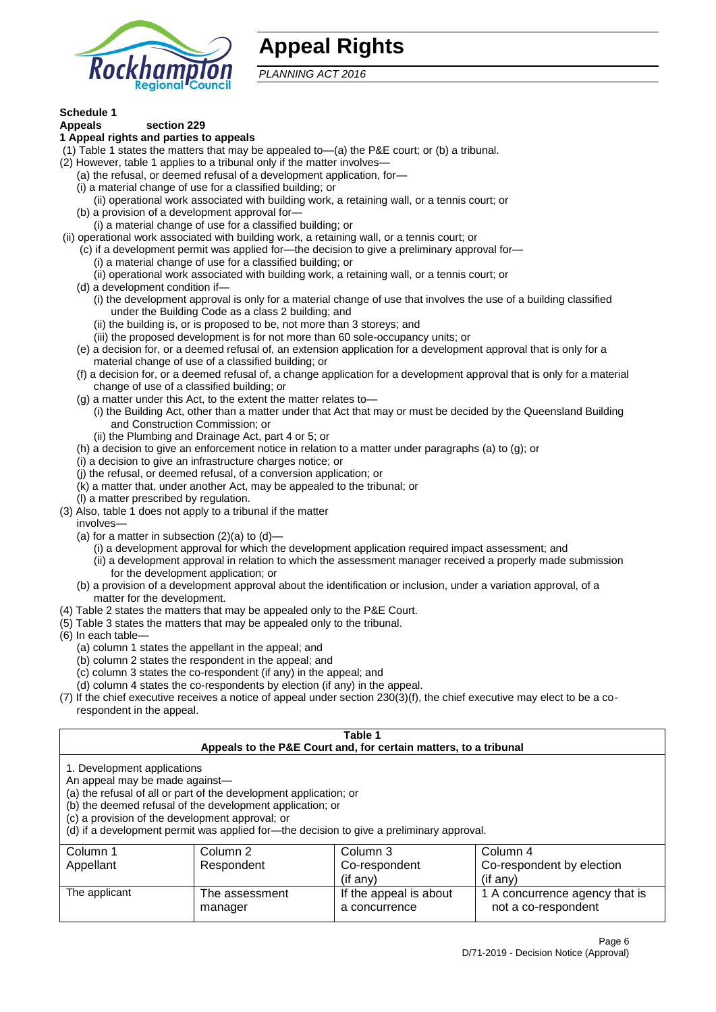

## **Appeal Rights**

*PLANNING ACT 2016*

## **Schedule 1**

#### **Appeals section 229 1 Appeal rights and parties to appeals**

- (1) Table 1 states the matters that may be appealed to—(a) the P&E court; or (b) a tribunal.
- (2) However, table 1 applies to a tribunal only if the matter involves—
	- (a) the refusal, or deemed refusal of a development application, for—
	- (i) a material change of use for a classified building; or
	- (ii) operational work associated with building work, a retaining wall, or a tennis court; or
	- (b) a provision of a development approval for—
	- (i) a material change of use for a classified building; or
- (ii) operational work associated with building work, a retaining wall, or a tennis court; or
	- (c) if a development permit was applied for—the decision to give a preliminary approval for—
		- (i) a material change of use for a classified building; or
	- (ii) operational work associated with building work, a retaining wall, or a tennis court; or
	- (d) a development condition if—
		- (i) the development approval is only for a material change of use that involves the use of a building classified under the Building Code as a class 2 building; and
		- (ii) the building is, or is proposed to be, not more than 3 storeys; and
		- (iii) the proposed development is for not more than 60 sole-occupancy units; or
	- (e) a decision for, or a deemed refusal of, an extension application for a development approval that is only for a material change of use of a classified building; or
	- (f) a decision for, or a deemed refusal of, a change application for a development approval that is only for a material change of use of a classified building; or
	- (g) a matter under this Act, to the extent the matter relates to—
		- (i) the Building Act, other than a matter under that Act that may or must be decided by the Queensland Building and Construction Commission; or
		- (ii) the Plumbing and Drainage Act, part 4 or 5; or
	- (h) a decision to give an enforcement notice in relation to a matter under paragraphs (a) to (g); or
	- (i) a decision to give an infrastructure charges notice; or
	- (j) the refusal, or deemed refusal, of a conversion application; or
	- (k) a matter that, under another Act, may be appealed to the tribunal; or
	- (l) a matter prescribed by regulation.
- (3) Also, table 1 does not apply to a tribunal if the matter

involves—

- (a) for a matter in subsection  $(2)(a)$  to  $(d)$ 
	- (i) a development approval for which the development application required impact assessment; and
	- (ii) a development approval in relation to which the assessment manager received a properly made submission for the development application; or
- (b) a provision of a development approval about the identification or inclusion, under a variation approval, of a matter for the development.
- (4) Table 2 states the matters that may be appealed only to the P&E Court.
- (5) Table 3 states the matters that may be appealed only to the tribunal.
- (6) In each table—
	- (a) column 1 states the appellant in the appeal; and
	- (b) column 2 states the respondent in the appeal; and
	- (c) column 3 states the co-respondent (if any) in the appeal; and
	- (d) column 4 states the co-respondents by election (if any) in the appeal.
- (7) If the chief executive receives a notice of appeal under section 230(3)(f), the chief executive may elect to be a corespondent in the appeal.

| Table 1<br>Appeals to the P&E Court and, for certain matters, to a tribunal                                                                                                                                                                                                                                                                    |                           |                                         |                                                         |  |
|------------------------------------------------------------------------------------------------------------------------------------------------------------------------------------------------------------------------------------------------------------------------------------------------------------------------------------------------|---------------------------|-----------------------------------------|---------------------------------------------------------|--|
| 1. Development applications<br>An appeal may be made against-<br>(a) the refusal of all or part of the development application; or<br>(b) the deemed refusal of the development application; or<br>(c) a provision of the development approval; or<br>(d) if a development permit was applied for-the decision to give a preliminary approval. |                           |                                         |                                                         |  |
| Column 1<br>Appellant                                                                                                                                                                                                                                                                                                                          | Column 2<br>Respondent    | Column 3<br>Co-respondent<br>(if any)   | Column 4<br>Co-respondent by election<br>$($ if any $)$ |  |
| The applicant                                                                                                                                                                                                                                                                                                                                  | The assessment<br>manager | If the appeal is about<br>a concurrence | 1 A concurrence agency that is<br>not a co-respondent   |  |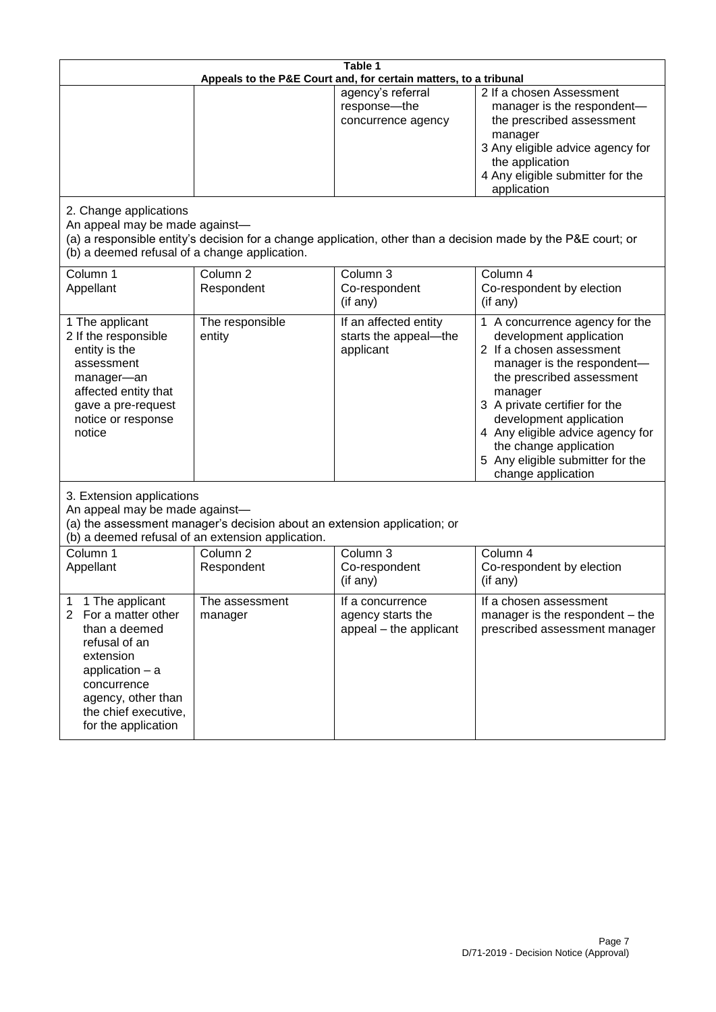| Table 1<br>Appeals to the P&E Court and, for certain matters, to a tribunal                                                                                                                                          |                                   |                                                                 |                                                                                                                                                                                                                                                                                                                                                 |  |
|----------------------------------------------------------------------------------------------------------------------------------------------------------------------------------------------------------------------|-----------------------------------|-----------------------------------------------------------------|-------------------------------------------------------------------------------------------------------------------------------------------------------------------------------------------------------------------------------------------------------------------------------------------------------------------------------------------------|--|
|                                                                                                                                                                                                                      |                                   | agency's referral<br>response-the<br>concurrence agency         | 2 If a chosen Assessment<br>manager is the respondent-<br>the prescribed assessment<br>manager<br>3 Any eligible advice agency for<br>the application<br>4 Any eligible submitter for the<br>application                                                                                                                                        |  |
| 2. Change applications<br>An appeal may be made against-<br>(b) a deemed refusal of a change application.                                                                                                            |                                   |                                                                 | (a) a responsible entity's decision for a change application, other than a decision made by the P&E court; or                                                                                                                                                                                                                                   |  |
| Column 1<br>Appellant                                                                                                                                                                                                | Column <sub>2</sub><br>Respondent | Column 3<br>Co-respondent<br>(if any)                           | Column 4<br>Co-respondent by election<br>(if any)                                                                                                                                                                                                                                                                                               |  |
| 1 The applicant<br>2 If the responsible<br>entity is the<br>assessment<br>manager-an<br>affected entity that<br>gave a pre-request<br>notice or response<br>notice                                                   | The responsible<br>entity         | If an affected entity<br>starts the appeal-the<br>applicant     | 1 A concurrence agency for the<br>development application<br>2 If a chosen assessment<br>manager is the respondent-<br>the prescribed assessment<br>manager<br>3 A private certifier for the<br>development application<br>4 Any eligible advice agency for<br>the change application<br>5 Any eligible submitter for the<br>change application |  |
| 3. Extension applications<br>An appeal may be made against-<br>(a) the assessment manager's decision about an extension application; or<br>(b) a deemed refusal of an extension application.                         |                                   |                                                                 |                                                                                                                                                                                                                                                                                                                                                 |  |
| Column 1<br>Appellant                                                                                                                                                                                                | Column <sub>2</sub><br>Respondent | Column 3<br>Co-respondent<br>(if any)                           | Column 4<br>Co-respondent by election<br>(if any)                                                                                                                                                                                                                                                                                               |  |
| 1 The applicant<br>1<br>$\overline{2}$<br>For a matter other<br>than a deemed<br>refusal of an<br>extension<br>application $-$ a<br>concurrence<br>agency, other than<br>the chief executive,<br>for the application | The assessment<br>manager         | If a concurrence<br>agency starts the<br>appeal - the applicant | If a chosen assessment<br>manager is the respondent - the<br>prescribed assessment manager                                                                                                                                                                                                                                                      |  |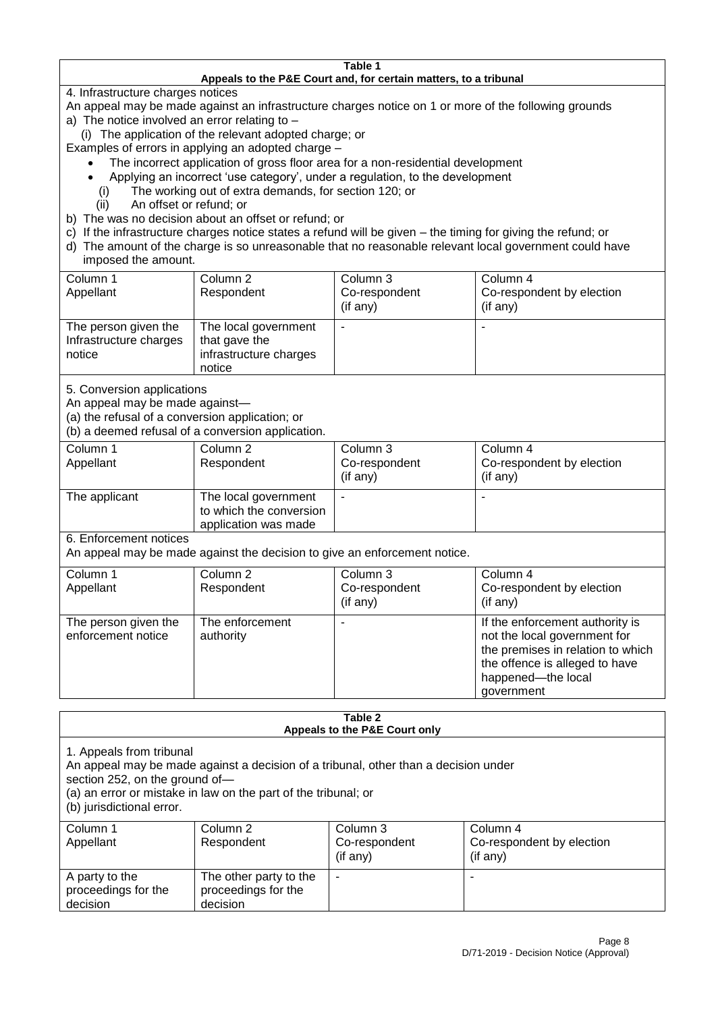#### **Table 1 Appeals to the P&E Court and, for certain matters, to a tribunal**

4. Infrastructure charges notices

- An appeal may be made against an infrastructure charges notice on 1 or more of the following grounds
- a) The notice involved an error relating to
	- (i) The application of the relevant adopted charge; or
- Examples of errors in applying an adopted charge
	- The incorrect application of gross floor area for a non-residential development
	- Applying an incorrect 'use category', under a regulation, to the development
	- (i) The working out of extra demands, for section 120; or
	- (ii) An offset or refund; or
- b) The was no decision about an offset or refund; or
- c) If the infrastructure charges notice states a refund will be given the timing for giving the refund; or
- d) The amount of the charge is so unreasonable that no reasonable relevant local government could have
- imposed the amount.

| Column 1                                                 | Column 2                                                                  | Column 3      | Column 4                  |
|----------------------------------------------------------|---------------------------------------------------------------------------|---------------|---------------------------|
| Appellant                                                | Respondent                                                                | Co-respondent | Co-respondent by election |
|                                                          |                                                                           | (if any)      | (if any)                  |
| The person given the<br>Infrastructure charges<br>notice | The local government<br>that gave the<br>infrastructure charges<br>notice | -             |                           |

5. Conversion applications

An appeal may be made against—

(a) the refusal of a conversion application; or

(b) a deemed refusal of a conversion application.

| Column 1<br>Appellant | Column 2<br>Respondent                                                  | Column 3<br>Co-respondent<br>$($ if any $)$ | Column 4<br>Co-respondent by election<br>$($ if any $)$ |
|-----------------------|-------------------------------------------------------------------------|---------------------------------------------|---------------------------------------------------------|
| The applicant         | The local government<br>to which the conversion<br>application was made |                                             |                                                         |

6. Enforcement notices

An appeal may be made against the decision to give an enforcement notice.

| Column 1                                   | Column 2                     | Column 3      | Column 4                                                                                                                                                                   |
|--------------------------------------------|------------------------------|---------------|----------------------------------------------------------------------------------------------------------------------------------------------------------------------------|
| Appellant                                  | Respondent                   | Co-respondent | Co-respondent by election                                                                                                                                                  |
|                                            |                              | (if any)      | (if any)                                                                                                                                                                   |
| The person given the<br>enforcement notice | The enforcement<br>authority |               | If the enforcement authority is<br>not the local government for<br>the premises in relation to which<br>the offence is alleged to have<br>happened-the local<br>government |

#### **Table 2 Appeals to the P&E Court only**

1. Appeals from tribunal

An appeal may be made against a decision of a tribunal, other than a decision under

section 252, on the ground of—

(a) an error or mistake in law on the part of the tribunal; or

(b) jurisdictional error.

| Column 1<br>Appellant                             | Column 2<br>Respondent                                    | Column 3<br>Co-respondent<br>$($ if any $)$ | Column 4<br>Co-respondent by election<br>(if any) |
|---------------------------------------------------|-----------------------------------------------------------|---------------------------------------------|---------------------------------------------------|
| A party to the<br>proceedings for the<br>decision | The other party to the<br>proceedings for the<br>decision | ۰                                           |                                                   |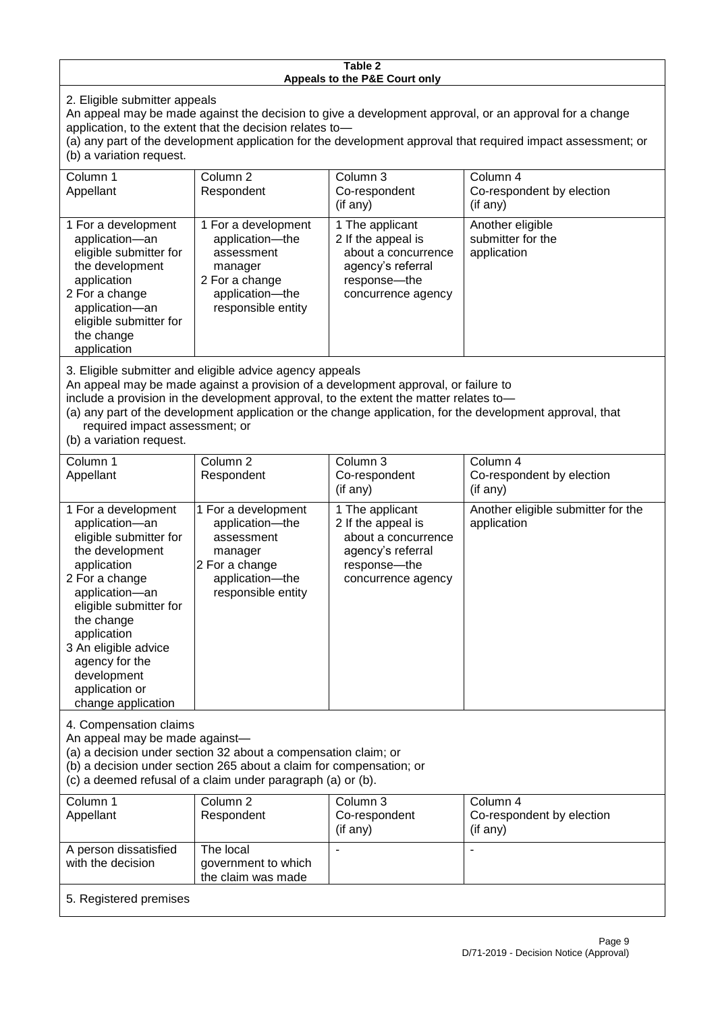#### **Table 2 Appeals to the P&E Court only**

2. Eligible submitter appeals

An appeal may be made against the decision to give a development approval, or an approval for a change application, to the extent that the decision relates to—

(a) any part of the development application for the development approval that required impact assessment; or (b) a variation request.

| Column 1                                                                                                                                                                                     | Column 2                                                                                                                      | Column 3                                                                                                                | Column 4                                             |
|----------------------------------------------------------------------------------------------------------------------------------------------------------------------------------------------|-------------------------------------------------------------------------------------------------------------------------------|-------------------------------------------------------------------------------------------------------------------------|------------------------------------------------------|
| Appellant                                                                                                                                                                                    | Respondent                                                                                                                    | Co-respondent                                                                                                           | Co-respondent by election                            |
|                                                                                                                                                                                              |                                                                                                                               | (i f an y)                                                                                                              | $($ if any $)$                                       |
| 1 For a development<br>application-an<br>eligible submitter for<br>the development<br>application<br>2 For a change<br>application-an<br>eligible submitter for<br>the change<br>application | 1 For a development<br>application-the<br>assessment<br>manager<br>2 For a change<br>application----the<br>responsible entity | 1 The applicant<br>2 If the appeal is<br>about a concurrence<br>agency's referral<br>response-the<br>concurrence agency | Another eligible<br>submitter for the<br>application |
| 3. Eligible submitter and eligible advice agency appeals                                                                                                                                     |                                                                                                                               |                                                                                                                         |                                                      |

An appeal may be made against a provision of a development approval, or failure to

include a provision in the development approval, to the extent the matter relates to—

(a) any part of the development application or the change application, for the development approval, that required impact assessment; or

(b) a variation request.

| Column 1<br>Appellant                                                                                                                                                                                                                                                                         | Column <sub>2</sub><br>Respondent                                                                                          | Column 3<br>Co-respondent<br>(if any)                                                                                   | Column <sub>4</sub><br>Co-respondent by election<br>(if any) |
|-----------------------------------------------------------------------------------------------------------------------------------------------------------------------------------------------------------------------------------------------------------------------------------------------|----------------------------------------------------------------------------------------------------------------------------|-------------------------------------------------------------------------------------------------------------------------|--------------------------------------------------------------|
| 1 For a development<br>application-an<br>eligible submitter for<br>the development<br>application<br>2 For a change<br>application-an<br>eligible submitter for<br>the change<br>application<br>3 An eligible advice<br>agency for the<br>development<br>application or<br>change application | 1 For a development<br>application-the<br>assessment<br>manager<br>2 For a change<br>application-the<br>responsible entity | 1 The applicant<br>2 If the appeal is<br>about a concurrence<br>agency's referral<br>response-the<br>concurrence agency | Another eligible submitter for the<br>application            |
| 4. Compensation claims<br>An appeal may be made against-<br>(a) a decision under section 32 about a compensation claim; or<br>(b) a decision under section 265 about a claim for compensation; or<br>(c) a deemed refusal of a claim under paragraph (a) or (b).                              |                                                                                                                            |                                                                                                                         |                                                              |
| Column 1<br>Appellant                                                                                                                                                                                                                                                                         | Column $2$<br>Respondent                                                                                                   | Column 3<br>Co-respondent<br>(if any)                                                                                   | Column 4<br>Co-respondent by election<br>(if any)            |
| A person dissatisfied<br>with the decision                                                                                                                                                                                                                                                    | The local<br>government to which<br>the claim was made                                                                     |                                                                                                                         |                                                              |

5. Registered premises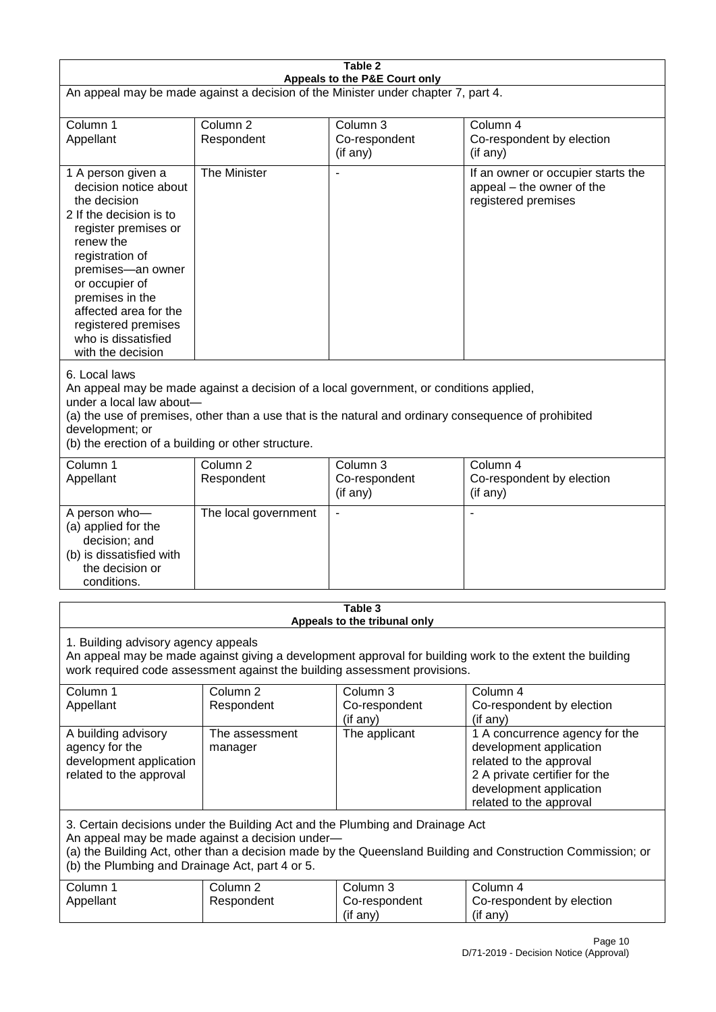| Table 2                                                                                                                                                                                                                                                                                                              |                                   |                                                  |                                                                                                                                                                             |  |
|----------------------------------------------------------------------------------------------------------------------------------------------------------------------------------------------------------------------------------------------------------------------------------------------------------------------|-----------------------------------|--------------------------------------------------|-----------------------------------------------------------------------------------------------------------------------------------------------------------------------------|--|
| Appeals to the P&E Court only<br>An appeal may be made against a decision of the Minister under chapter 7, part 4.                                                                                                                                                                                                   |                                   |                                                  |                                                                                                                                                                             |  |
| Column 1<br>Appellant                                                                                                                                                                                                                                                                                                | Column <sub>2</sub><br>Respondent | Column 3<br>Co-respondent                        | Column 4<br>Co-respondent by election                                                                                                                                       |  |
| 1 A person given a<br>decision notice about<br>the decision<br>2 If the decision is to<br>register premises or<br>renew the<br>registration of<br>premises-an owner<br>or occupier of<br>premises in the<br>affected area for the<br>registered premises<br>who is dissatisfied<br>with the decision                 | The Minister                      | (if any)<br>$\overline{\phantom{a}}$             | (if any)<br>If an owner or occupier starts the<br>appeal - the owner of the<br>registered premises                                                                          |  |
| 6. Local laws<br>An appeal may be made against a decision of a local government, or conditions applied,<br>under a local law about-<br>(a) the use of premises, other than a use that is the natural and ordinary consequence of prohibited<br>development; or<br>(b) the erection of a building or other structure. |                                   |                                                  |                                                                                                                                                                             |  |
| Column 1<br>Appellant                                                                                                                                                                                                                                                                                                | Column <sub>2</sub><br>Respondent | Column <sub>3</sub><br>Co-respondent<br>(if any) | Column 4<br>Co-respondent by election<br>(if any)                                                                                                                           |  |
| A person who-<br>(a) applied for the<br>decision; and<br>(b) is dissatisfied with<br>the decision or<br>conditions.                                                                                                                                                                                                  | The local government              | $\overline{\phantom{a}}$                         |                                                                                                                                                                             |  |
|                                                                                                                                                                                                                                                                                                                      |                                   | Table 3<br>Appeals to the tribunal only          |                                                                                                                                                                             |  |
| 1. Building advisory agency appeals<br>An appeal may be made against giving a development approval for building work to the extent the building<br>work required code assessment against the building assessment provisions.                                                                                         |                                   |                                                  |                                                                                                                                                                             |  |
| Column 1<br>Appellant                                                                                                                                                                                                                                                                                                | Column <sub>2</sub><br>Respondent | Column 3<br>Co-respondent<br>(if any)            | Column 4<br>Co-respondent by election<br>(if any)                                                                                                                           |  |
| A building advisory<br>agency for the<br>development application<br>related to the approval                                                                                                                                                                                                                          | The assessment<br>manager         | The applicant                                    | 1 A concurrence agency for the<br>development application<br>related to the approval<br>2 A private certifier for the<br>development application<br>related to the approval |  |
| 3. Certain decisions under the Building Act and the Plumbing and Drainage Act<br>An appeal may be made against a decision under-<br>(a) the Building Act, other than a decision made by the Queensland Building and Construction Commission; or<br>(b) the Plumbing and Drainage Act, part 4 or 5.                   |                                   |                                                  |                                                                                                                                                                             |  |
| Column 1<br>Appellant                                                                                                                                                                                                                                                                                                | Column <sub>2</sub><br>Respondent | Column 3<br>Co-respondent<br>(if any)            | Column 4<br>Co-respondent by election<br>(if any)                                                                                                                           |  |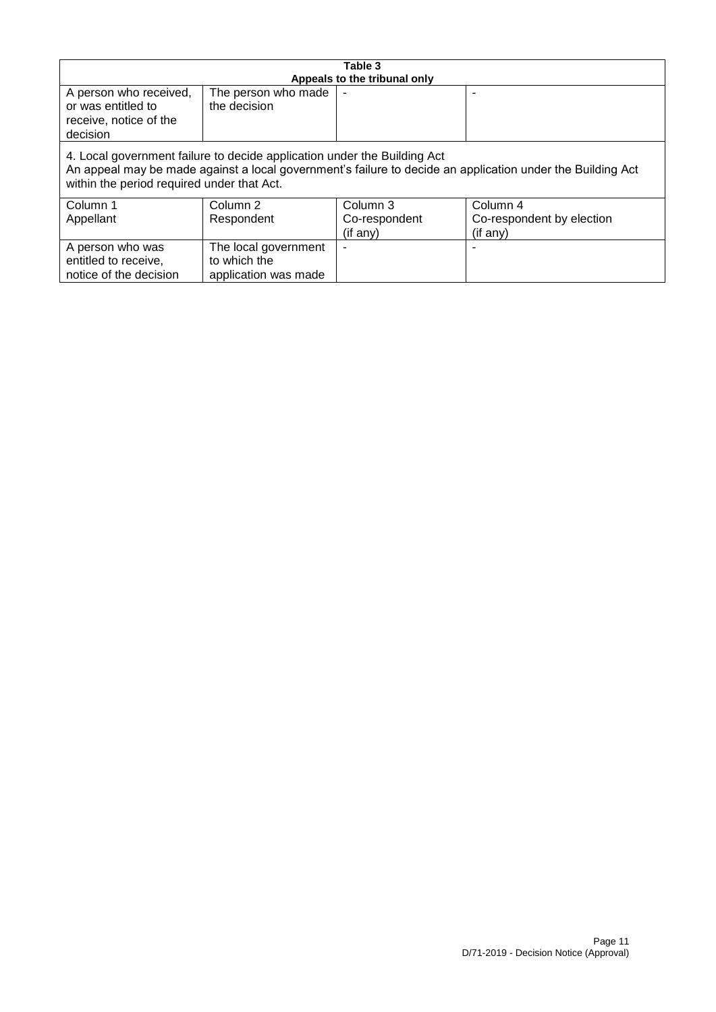| Table 3                                                                                                                                                                                                                              |                                                              |                              |                           |
|--------------------------------------------------------------------------------------------------------------------------------------------------------------------------------------------------------------------------------------|--------------------------------------------------------------|------------------------------|---------------------------|
|                                                                                                                                                                                                                                      |                                                              | Appeals to the tribunal only |                           |
| A person who received,<br>or was entitled to<br>receive, notice of the<br>decision                                                                                                                                                   | The person who made<br>the decision                          |                              |                           |
| 4. Local government failure to decide application under the Building Act<br>An appeal may be made against a local government's failure to decide an application under the Building Act<br>within the period required under that Act. |                                                              |                              |                           |
| Column 1                                                                                                                                                                                                                             | Column 2                                                     | Column 3                     | Column 4                  |
| Appellant                                                                                                                                                                                                                            | Respondent                                                   | Co-respondent                | Co-respondent by election |
|                                                                                                                                                                                                                                      |                                                              | (if any)                     | (if any)                  |
| A person who was<br>entitled to receive,<br>notice of the decision                                                                                                                                                                   | The local government<br>to which the<br>application was made |                              |                           |